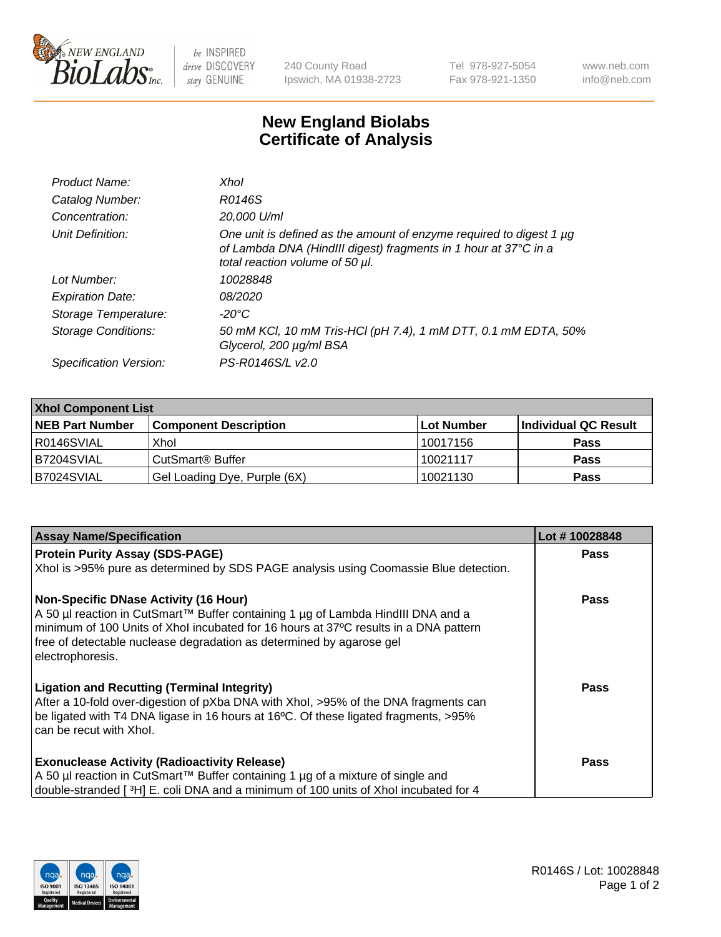

 $be$  INSPIRED drive DISCOVERY stay GENUINE

240 County Road Ipswich, MA 01938-2723 Tel 978-927-5054 Fax 978-921-1350 www.neb.com info@neb.com

## **New England Biolabs Certificate of Analysis**

| Product Name:              | Xhol                                                                                                                                                                      |
|----------------------------|---------------------------------------------------------------------------------------------------------------------------------------------------------------------------|
| Catalog Number:            | R0146S                                                                                                                                                                    |
| Concentration:             | 20,000 U/ml                                                                                                                                                               |
| Unit Definition:           | One unit is defined as the amount of enzyme required to digest 1 µg<br>of Lambda DNA (HindIII digest) fragments in 1 hour at 37°C in a<br>total reaction volume of 50 µl. |
| Lot Number:                | 10028848                                                                                                                                                                  |
| <b>Expiration Date:</b>    | 08/2020                                                                                                                                                                   |
| Storage Temperature:       | -20°C                                                                                                                                                                     |
| <b>Storage Conditions:</b> | 50 mM KCl, 10 mM Tris-HCl (pH 7.4), 1 mM DTT, 0.1 mM EDTA, 50%<br>Glycerol, 200 µg/ml BSA                                                                                 |
| Specification Version:     | PS-R0146S/L v2.0                                                                                                                                                          |

| <b>Xhol Component List</b> |                              |             |                      |  |  |
|----------------------------|------------------------------|-------------|----------------------|--|--|
| <b>NEB Part Number</b>     | <b>Component Description</b> | ∣Lot Number | Individual QC Result |  |  |
| R0146SVIAL                 | Xhol                         | 10017156    | <b>Pass</b>          |  |  |
| B7204SVIAL                 | CutSmart® Buffer             | 10021117    | <b>Pass</b>          |  |  |
| B7024SVIAL                 | Gel Loading Dye, Purple (6X) | 10021130    | <b>Pass</b>          |  |  |

| <b>Assay Name/Specification</b>                                                                                                                                                                                                                                                                                      | Lot #10028848 |
|----------------------------------------------------------------------------------------------------------------------------------------------------------------------------------------------------------------------------------------------------------------------------------------------------------------------|---------------|
| <b>Protein Purity Assay (SDS-PAGE)</b>                                                                                                                                                                                                                                                                               | <b>Pass</b>   |
| Xhol is >95% pure as determined by SDS PAGE analysis using Coomassie Blue detection.                                                                                                                                                                                                                                 |               |
| <b>Non-Specific DNase Activity (16 Hour)</b><br>A 50 µl reaction in CutSmart™ Buffer containing 1 µg of Lambda HindIII DNA and a<br>minimum of 100 Units of Xhol incubated for 16 hours at 37°C results in a DNA pattern<br>free of detectable nuclease degradation as determined by agarose gel<br>electrophoresis. | Pass          |
| <b>Ligation and Recutting (Terminal Integrity)</b><br>After a 10-fold over-digestion of pXba DNA with Xhol, >95% of the DNA fragments can<br>be ligated with T4 DNA ligase in 16 hours at 16°C. Of these ligated fragments, >95%<br>can be recut with Xhol.                                                          | Pass          |
| <b>Exonuclease Activity (Radioactivity Release)</b><br>A 50 µl reaction in CutSmart™ Buffer containing 1 µg of a mixture of single and<br>double-stranded [3H] E. coli DNA and a minimum of 100 units of Xhol incubated for 4                                                                                        | Pass          |